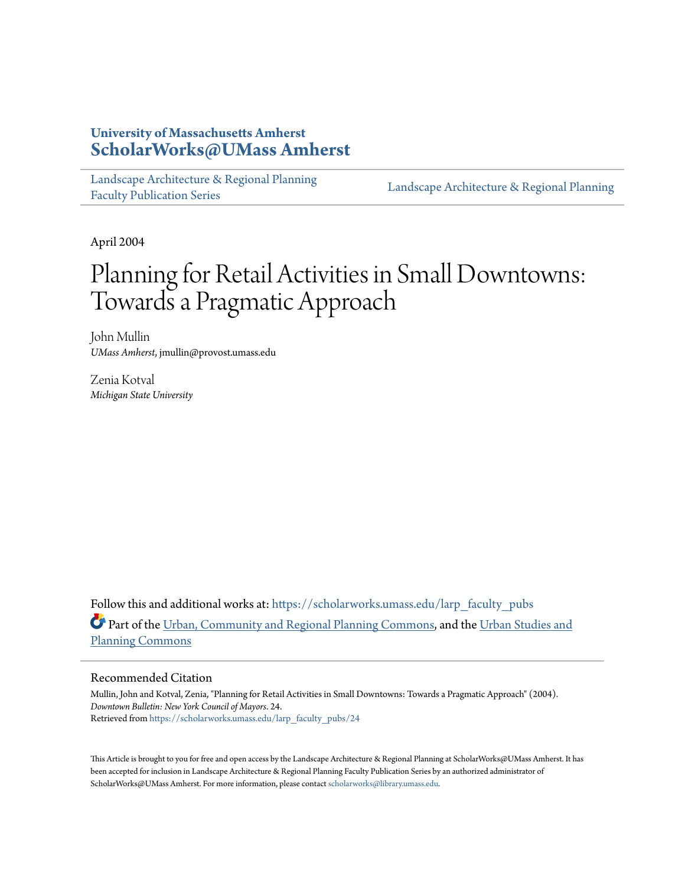# **University of Massachusetts Amherst [ScholarWorks@UMass Amherst](https://scholarworks.umass.edu?utm_source=scholarworks.umass.edu%2Flarp_faculty_pubs%2F24&utm_medium=PDF&utm_campaign=PDFCoverPages)**

[Landscape Architecture & Regional Planning](https://scholarworks.umass.edu/larp_faculty_pubs?utm_source=scholarworks.umass.edu%2Flarp_faculty_pubs%2F24&utm_medium=PDF&utm_campaign=PDFCoverPages) [Faculty Publication Series](https://scholarworks.umass.edu/larp_faculty_pubs?utm_source=scholarworks.umass.edu%2Flarp_faculty_pubs%2F24&utm_medium=PDF&utm_campaign=PDFCoverPages)

[Landscape Architecture & Regional Planning](https://scholarworks.umass.edu/larp?utm_source=scholarworks.umass.edu%2Flarp_faculty_pubs%2F24&utm_medium=PDF&utm_campaign=PDFCoverPages)

April 2004

# Planning for Retail Activities in Small Downtowns: Towards a Pragmatic Approach

John Mullin *UMass Amherst*, jmullin@provost.umass.edu

Zenia Kotval *Michigan State University*

Follow this and additional works at: [https://scholarworks.umass.edu/larp\\_faculty\\_pubs](https://scholarworks.umass.edu/larp_faculty_pubs?utm_source=scholarworks.umass.edu%2Flarp_faculty_pubs%2F24&utm_medium=PDF&utm_campaign=PDFCoverPages) Part of the [Urban, Community and Regional Planning Commons](http://network.bepress.com/hgg/discipline/776?utm_source=scholarworks.umass.edu%2Flarp_faculty_pubs%2F24&utm_medium=PDF&utm_campaign=PDFCoverPages), and the [Urban Studies and](http://network.bepress.com/hgg/discipline/436?utm_source=scholarworks.umass.edu%2Flarp_faculty_pubs%2F24&utm_medium=PDF&utm_campaign=PDFCoverPages) [Planning Commons](http://network.bepress.com/hgg/discipline/436?utm_source=scholarworks.umass.edu%2Flarp_faculty_pubs%2F24&utm_medium=PDF&utm_campaign=PDFCoverPages)

#### Recommended Citation

Mullin, John and Kotval, Zenia, "Planning for Retail Activities in Small Downtowns: Towards a Pragmatic Approach" (2004). *Downtown Bulletin: New York Council of Mayors*. 24. Retrieved from [https://scholarworks.umass.edu/larp\\_faculty\\_pubs/24](https://scholarworks.umass.edu/larp_faculty_pubs/24?utm_source=scholarworks.umass.edu%2Flarp_faculty_pubs%2F24&utm_medium=PDF&utm_campaign=PDFCoverPages)

This Article is brought to you for free and open access by the Landscape Architecture & Regional Planning at ScholarWorks@UMass Amherst. It has been accepted for inclusion in Landscape Architecture & Regional Planning Faculty Publication Series by an authorized administrator of ScholarWorks@UMass Amherst. For more information, please contact [scholarworks@library.umass.edu.](mailto:scholarworks@library.umass.edu)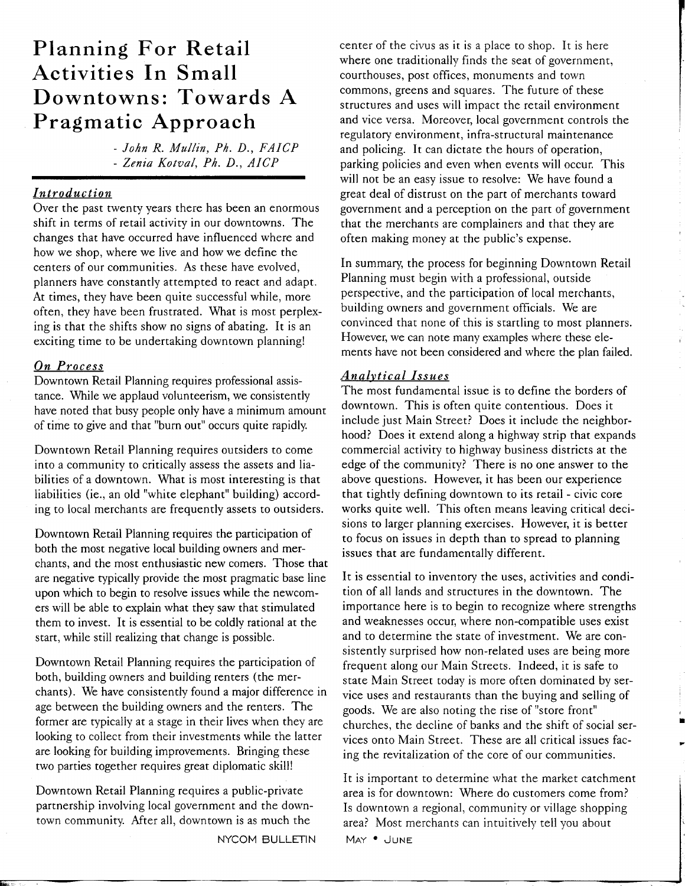# **Planning For Retail Activities In Small Downtowns: Towards A Pragmatic Approach**

- John R. Mul/in, Ph. D., FAICP - Zenia Kotval, Ph. D., AICP

# *Introduction*

Over the past twenty years there has been an enormous shift in terms of retail activity in our downtowns. The changes that have occurred have influenced where and how we shop, where we live and how we define the centers of our communities. As these have evolved, planners have constantly attempted to react and adapt. At times, they have been quite successful while, more often, they have been frustrated. What is most perplexing is that the shifts show no signs of abating. It is an exciting time to be undertaking downtown planning!

# *On Process*

Downtown Retail Planning requires professional assistance. While we applaud volunteerism, we consistently have noted that busy people only have a minimum amount of time to give and that "burn out" occurs quite rapidly

Downtown Retail Planning requires outsiders to come into a community to critically assess the assets and liabilities of a downtown. What is most interesting is that liabilities (ie., an old "white elephant" building) according to local merchants are frequently assets to outsiders.

Downtown Retail Planning requires the participation of both the most negative local building owners and merchants, and the most enthusiastic new comers. Those that are negative typically provide the most pragmatic base line upon which to begin to resolve issues while the newcomers will be able to explain what they saw that stimulated them to invest. It is essential to be coldly rational at the start, while still realizing that change is possible.

Downtown Retail Planning requires the participation of both, building owners and building renters (the merchants). We have consistently found a major difference in age between the building owners and the renters. The former are typically at a stage in their lives when they are looking to collect from their investments while the latter are looking for building improvements. Bringing these two parties together requires great diplomatic skill!

Downtown Retail Planning requires a public-private partnership involving local government and the downtown community. After all, downtown is as much the

NYCOM BULLETIN

center of the civus as it is a place to shop. It is here where one traditionally finds the seat of government, courthouses, post offices, monuments and town commons, greens and squares. The future of these structures and uses will impact the retail environment and vice versa. Moreover, local government controls the regulatory environment, infra-structural maintenance and policing. It can dictate the hours of operation, parking policies and even when events will occur. This will not be an easy issue to resolve: We have found a great deal of distrust on the part of merchants toward government and a perception on the part of government that the merchants are complainers and that they are often making money at the public's expense.

In summary, the process for beginning Downtown Retail Planning must begin with a professional, outside perspective, and the participation of local merchants, building owners and government officials. We are convinced that none of this is startling to most planners. However, we can note many examples where these elements have not been considered and where the plan failed.

## *Analvtical Issues*

The most fundamental issue is to define the borders of downtown. This is often quite contentious. Does it include just Main Street? Does it include the neighborhood? Does it extend along a highway strip that expands commercial activity to highway business districts at the edge of the community? There is no one answer to the above questions. However, it has been our experience that tightly defining downtown to its retail - civic core works quite well. This often means leaving critical decisions to larger planning exercises. However, it is better to focus on issues in depth than to spread to planning issues that are fundamentally different.

It is essential to inventory the uses, activities and condition of all lands and structures in the downtown. The importance here is to begin to recognize where strengths and weaknesses occur, where non-compatible uses exist and to determine the state of investment. We are consistently surprised how non-related uses are being more frequent along our Main Streets. Indeed, it is safe to state Main Street today is more often dominated by service uses and restaurants than the buying and selling of goods. We are also noting the rise of "store front" churches, the decline of banks and the shift of social services onto Main Street. These are all critical issues facing the revitalization of the core of our communities.

It is important to determine what the market catchment area is for downtown: Where do customers come from? Is downtown a regional, community or village shopping area? Most merchants can intuitively tell you about MAY . JUNE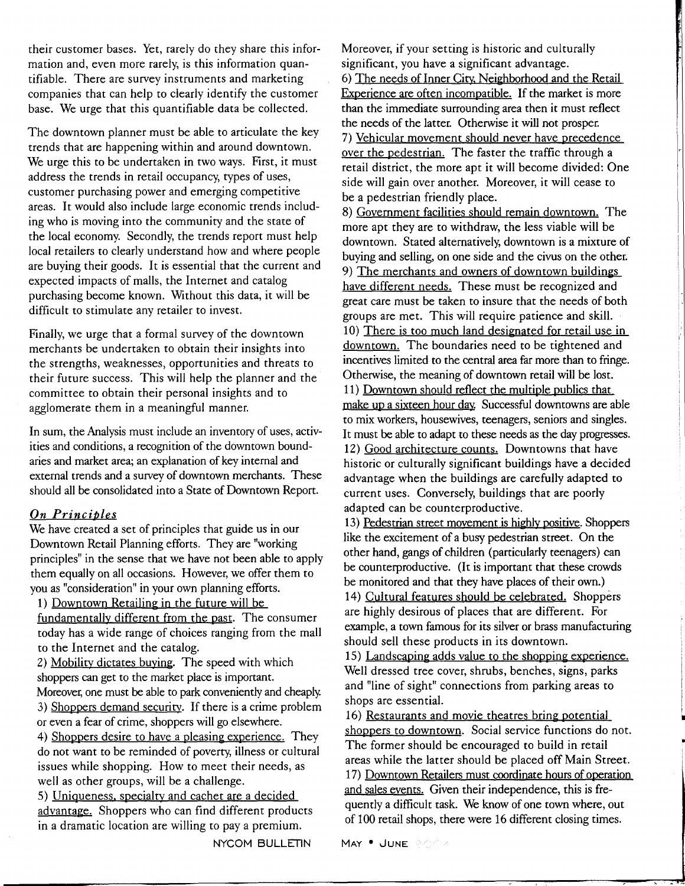their customer bases. Yet, rarely do they share this information and, even more rarely, is this information quantifiable. There are survey instruments and marketing companies that can help to clearly identify the customer base. We urge that this quantifiable data be collected.

The downtown planner must be able to articulate the key trends that are happening within and around downtown. We urge this to be undertaken in two ways. First, it must address the trends in retail occupancy, types of uses, customer purchasing power and emerging competitive areas. It would also include large economic trends including who is moving into the community and the state of the local economy. Secondly, the trends report must help local retailers to clearly understand how and where people are buying their goods. It is essential that the current and expected impacts of malls, the Internet and catalog purchasing become known. Without this data, it will be difficult to stimulate any retailer to invest.

Finally, we urge that a formal survey of the downtown merchants be undertaken to obtain their insights into the strengths, weaknesses, opportunities and threats to their future success. This will help the planner and the committee to obtain their personal insights and to agglomerate them in a meaningful manner.

In sum, the Analysis must include an inventory of uses, activities and conditions, a recognition of the downtown boundaries and market area; an explanation of key internal and external trends and a survey of downtown merchants. These should all be consolidated into a State of Downtown Report.

## **On Principles**

We have created a set of principles that guide us in our Downtown Retail Planning efforts. They are "working principles" in the sense that we have not been able to apply them equally on all occasions. However, we offer them to you as "consideration" in your own planning efforts.

1) Downtown Retailing in the future will be fundamentallv different from the past. The consumer today has a wide range of choices ranging from the mall to the Internet and the catalog.

2) Mobility dictates buying. The speed with which shoppers can get to the market place is important. Moreover, one must be able to park conveniently and cheaply 3) Shoppers demand security. If there is a crime problem or even a fear of crime, shoppers will go elsewhere. 4) Shoppers desire to have a pleasing experience. They do not want to be reminded of poverty, illness or cultural issues while shopping. How to meet their needs, as well as other groups, will be a challenge. 5) Uniqueness. specialty and cachet are a decided

advantage. Shoppers who can find different products in a dramatic location are willing to pay a premium. Of 100 retail shop<br>NYCOM BULLETIN MAY • JUNE

Moreover, if your setting is historic and culturally significant, you have a significant advantage. 6) The needs of Inner Citv. Neighborhood and the Retail Experience are often incompatible. If the market is more than the immediate surrounding area then it must reflect the needs of the latter. Otherwise it will not prosper. 7) Vehicular movement should never have precedence over the pedestrian. The faster the traffic through a retail district, the more apt it will become divided: One side will gain over another. Moreover, it will cease to be a pedestrian friendly place.

8) Government facilities should remain downtown. The more apt they are to withdraw, the less viable will be downtown. Stated alternatively, downtown is a mixture of buying and selling, on one side and the civus on the other. 9) The merchants and owners of downtown buildings have different needs. These must be recognized and great care must be taken to insure that the needs of both groups are met. This will require patience and skill. 10) There is too much land designated for retail use in downtown. The boundaries need to be tightened and incentives limited to the central area far more than to fringe. Otherwise, the meaning of downtown retail will be lost. 11) Downtown should reflect the multiple publics that make up a sixteen hour day. Successful downtowns are able to mix workers, housewives, teenagers, seniors and singles. It must be able to adapt to these needs as the day progresses. 12) Good architecture counts. Downtowns that have historic or culturally significant buildings have a decided advantage when the buildings are carefully adapted to current uses. Conversely, buildings that are poorly adapted can be counterproductive.

13) Pedestrian street movement is highly positive. Shoppers like the excitement of a busy pedestrian street. On the other hand, gangs of children (particularly teenagers) can be counterproductive. (It is important that these crowds be monitored and that they have places of their own.) 14) Cultural features should be celebrated. Shoppers are highly desirous of places that are different. For example, a town famous for its silver or brass manufacturing should sell these products in its downtown.

15) Landscaping adds value to the shopping experience. Well dressed tree cover, shrubs, benches, signs, parks and "line of sight" connections from parking areas to shops are essential.

16) Restaurants and movie theatres bring potential shoppers to downtown. Social service functions do not. The former should be encouraged to build in retail areas while the latter should be placed off Main Street. 17) Downtown Retailers must coordinate hours of operation and sales events. Given their independence, this is frequently a dificult task. We know of one town where, out of 100 retail shops, there were 16 different closing times.